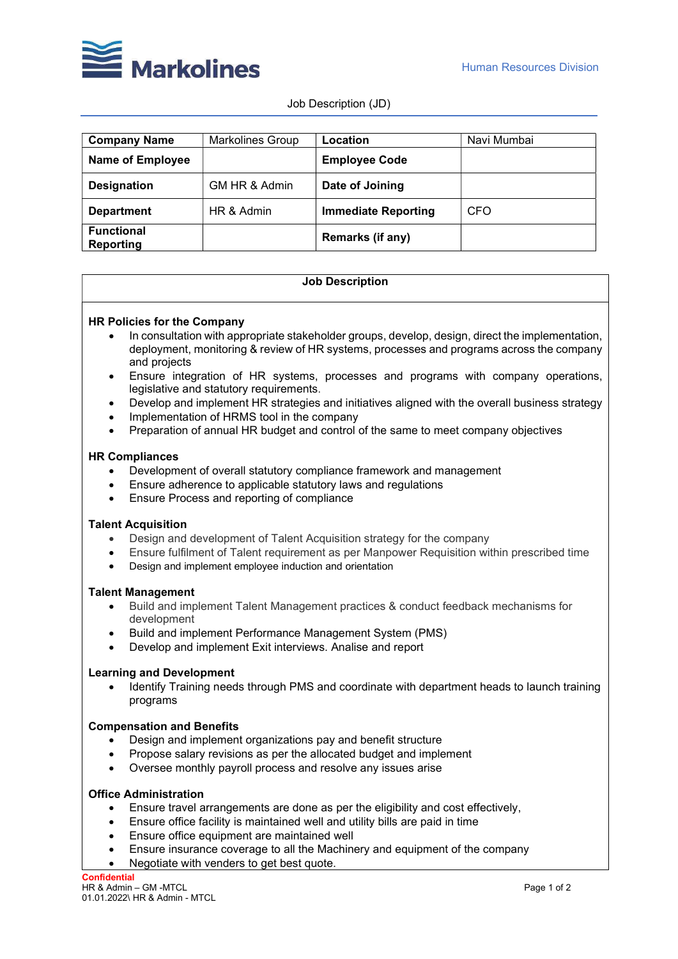

Job Description (JD)

| <b>Company Name</b>            | <b>Markolines Group</b> | Location                   | Navi Mumbai |
|--------------------------------|-------------------------|----------------------------|-------------|
| <b>Name of Employee</b>        |                         | <b>Employee Code</b>       |             |
| <b>Designation</b>             | GM HR & Admin           | Date of Joining            |             |
| <b>Department</b>              | HR & Admin              | <b>Immediate Reporting</b> | CFO         |
| <b>Functional</b><br>Reporting |                         | Remarks (if any)           |             |

#### Job Description

#### HR Policies for the Company

- In consultation with appropriate stakeholder groups, develop, design, direct the implementation, deployment, monitoring & review of HR systems, processes and programs across the company and projects
- Ensure integration of HR systems, processes and programs with company operations, legislative and statutory requirements.
- Develop and implement HR strategies and initiatives aligned with the overall business strategy
- Implementation of HRMS tool in the company
- Preparation of annual HR budget and control of the same to meet company objectives

#### HR Compliances

- Development of overall statutory compliance framework and management
- Ensure adherence to applicable statutory laws and regulations
- Ensure Process and reporting of compliance

#### Talent Acquisition

- Design and development of Talent Acquisition strategy for the company
- Ensure fulfilment of Talent requirement as per Manpower Requisition within prescribed time
- Design and implement employee induction and orientation

#### Talent Management

- Build and implement Talent Management practices & conduct feedback mechanisms for development
- Build and implement Performance Management System (PMS)
- Develop and implement Exit interviews. Analise and report

## Learning and Development

 Identify Training needs through PMS and coordinate with department heads to launch training programs

#### Compensation and Benefits

- Design and implement organizations pay and benefit structure
- Propose salary revisions as per the allocated budget and implement
- Oversee monthly payroll process and resolve any issues arise

# Office Administration

- Ensure travel arrangements are done as per the eligibility and cost effectively,
- Ensure office facility is maintained well and utility bills are paid in time
- Ensure office equipment are maintained well
- Ensure insurance coverage to all the Machinery and equipment of the company
- Negotiate with venders to get best quote.